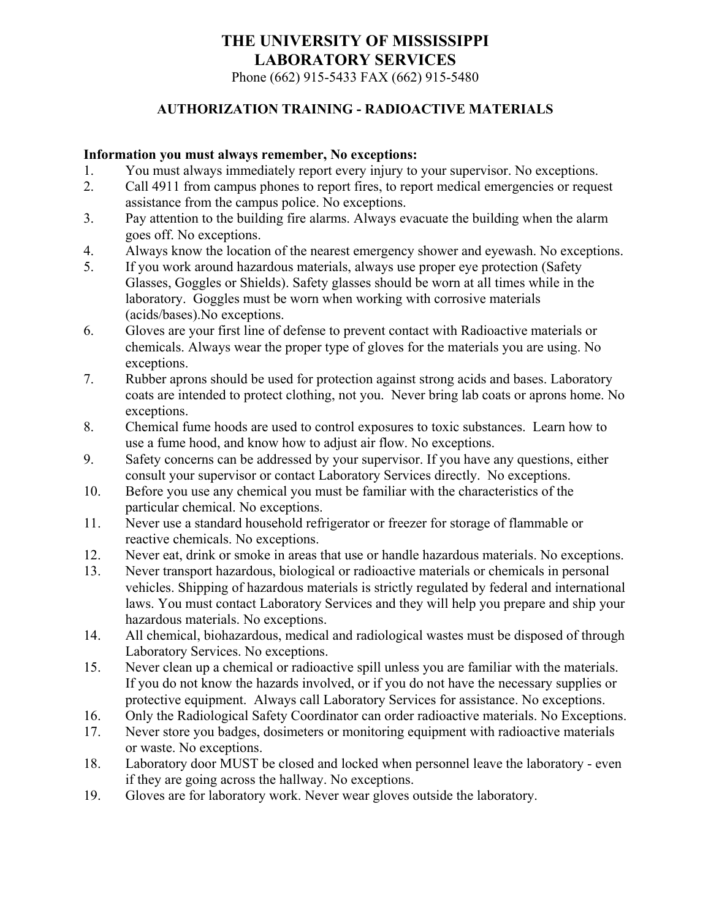Phone (662) 915-5433 FAX (662) 915-5480

#### **AUTHORIZATION TRAINING - RADIOACTIVE MATERIALS**

#### **Information you must always remember, No exceptions:**

- 1. You must always immediately report every injury to your supervisor. No exceptions.
- 2. Call 4911 from campus phones to report fires, to report medical emergencies or request assistance from the campus police. No exceptions.
- 3. Pay attention to the building fire alarms. Always evacuate the building when the alarm goes off. No exceptions.
- 4. Always know the location of the nearest emergency shower and eyewash. No exceptions.
- 5. If you work around hazardous materials, always use proper eye protection (Safety Glasses, Goggles or Shields). Safety glasses should be worn at all times while in the laboratory. Goggles must be worn when working with corrosive materials (acids/bases).No exceptions.
- 6. Gloves are your first line of defense to prevent contact with Radioactive materials or chemicals. Always wear the proper type of gloves for the materials you are using. No exceptions.
- 7. Rubber aprons should be used for protection against strong acids and bases. Laboratory coats are intended to protect clothing, not you. Never bring lab coats or aprons home. No exceptions.
- 8. Chemical fume hoods are used to control exposures to toxic substances. Learn how to use a fume hood, and know how to adjust air flow. No exceptions.
- 9. Safety concerns can be addressed by your supervisor. If you have any questions, either consult your supervisor or contact Laboratory Services directly. No exceptions.
- 10. Before you use any chemical you must be familiar with the characteristics of the particular chemical. No exceptions.
- 11. Never use a standard household refrigerator or freezer for storage of flammable or reactive chemicals. No exceptions.
- 12. Never eat, drink or smoke in areas that use or handle hazardous materials. No exceptions.
- 13. Never transport hazardous, biological or radioactive materials or chemicals in personal vehicles. Shipping of hazardous materials is strictly regulated by federal and international laws. You must contact Laboratory Services and they will help you prepare and ship your hazardous materials. No exceptions.
- 14. All chemical, biohazardous, medical and radiological wastes must be disposed of through Laboratory Services. No exceptions.
- 15. Never clean up a chemical or radioactive spill unless you are familiar with the materials. If you do not know the hazards involved, or if you do not have the necessary supplies or protective equipment. Always call Laboratory Services for assistance. No exceptions.
- 16. Only the Radiological Safety Coordinator can order radioactive materials. No Exceptions.
- 17. Never store you badges, dosimeters or monitoring equipment with radioactive materials or waste. No exceptions.
- 18. Laboratory door MUST be closed and locked when personnel leave the laboratory even if they are going across the hallway. No exceptions.
- 19. Gloves are for laboratory work. Never wear gloves outside the laboratory.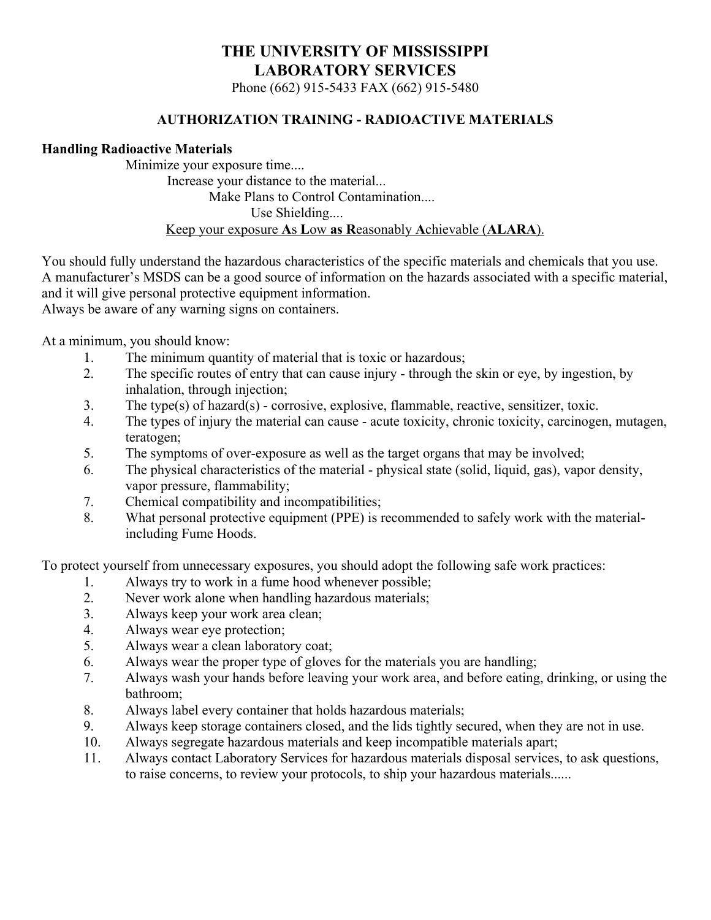Phone (662) 915-5433 FAX (662) 915-5480

#### **AUTHORIZATION TRAINING - RADIOACTIVE MATERIALS**

#### **Handling Radioactive Materials**

 Minimize your exposure time.... Increase your distance to the material... Make Plans to Control Contamination.... Use Shielding.... Keep your exposure **A**s **L**ow **as R**easonably **A**chievable (**ALARA**).

You should fully understand the hazardous characteristics of the specific materials and chemicals that you use. A manufacturer's MSDS can be a good source of information on the hazards associated with a specific material, and it will give personal protective equipment information.

Always be aware of any warning signs on containers.

At a minimum, you should know:

- 1. The minimum quantity of material that is toxic or hazardous;
- 2. The specific routes of entry that can cause injury through the skin or eye, by ingestion, by inhalation, through injection;
- 3. The type(s) of hazard(s) corrosive, explosive, flammable, reactive, sensitizer, toxic.
- 4. The types of injury the material can cause acute toxicity, chronic toxicity, carcinogen, mutagen, teratogen;
- 5. The symptoms of over-exposure as well as the target organs that may be involved;
- 6. The physical characteristics of the material physical state (solid, liquid, gas), vapor density, vapor pressure, flammability;
- 7. Chemical compatibility and incompatibilities;
- 8. What personal protective equipment (PPE) is recommended to safely work with the materialincluding Fume Hoods.

To protect yourself from unnecessary exposures, you should adopt the following safe work practices:

- 1. Always try to work in a fume hood whenever possible;
- 2. Never work alone when handling hazardous materials;
- 3. Always keep your work area clean;
- 4. Always wear eye protection;
- 5. Always wear a clean laboratory coat;
- 6. Always wear the proper type of gloves for the materials you are handling;
- 7. Always wash your hands before leaving your work area, and before eating, drinking, or using the bathroom;
- 8. Always label every container that holds hazardous materials;
- 9. Always keep storage containers closed, and the lids tightly secured, when they are not in use.
- 10. Always segregate hazardous materials and keep incompatible materials apart;
- 11. Always contact Laboratory Services for hazardous materials disposal services, to ask questions, to raise concerns, to review your protocols, to ship your hazardous materials......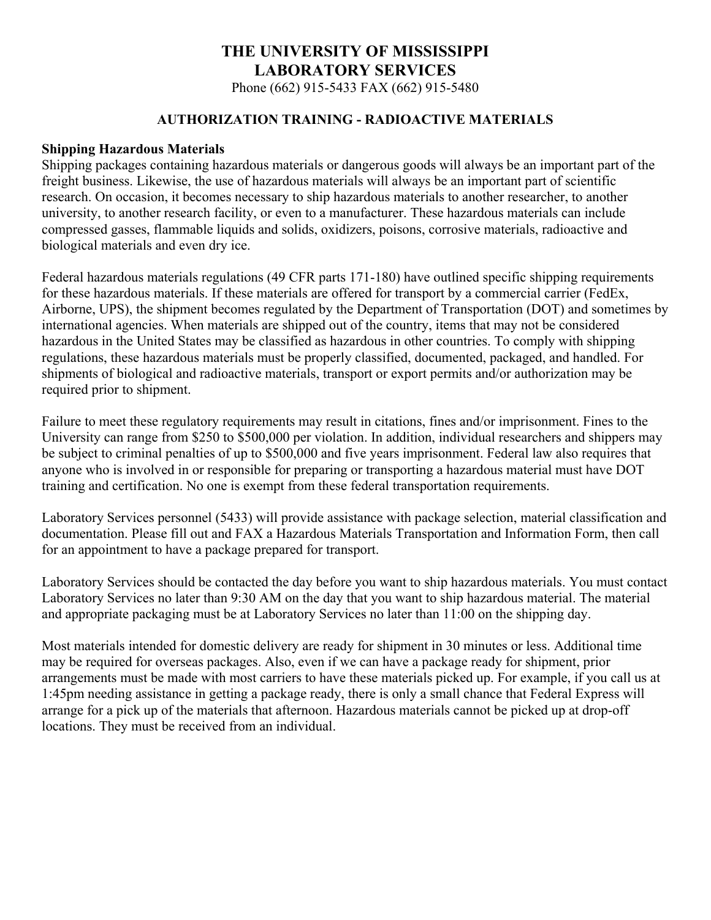Phone (662) 915-5433 FAX (662) 915-5480

#### **AUTHORIZATION TRAINING - RADIOACTIVE MATERIALS**

#### **Shipping Hazardous Materials**

Shipping packages containing hazardous materials or dangerous goods will always be an important part of the freight business. Likewise, the use of hazardous materials will always be an important part of scientific research. On occasion, it becomes necessary to ship hazardous materials to another researcher, to another university, to another research facility, or even to a manufacturer. These hazardous materials can include compressed gasses, flammable liquids and solids, oxidizers, poisons, corrosive materials, radioactive and biological materials and even dry ice.

Federal hazardous materials regulations (49 CFR parts 171-180) have outlined specific shipping requirements for these hazardous materials. If these materials are offered for transport by a commercial carrier (FedEx, Airborne, UPS), the shipment becomes regulated by the Department of Transportation (DOT) and sometimes by international agencies. When materials are shipped out of the country, items that may not be considered hazardous in the United States may be classified as hazardous in other countries. To comply with shipping regulations, these hazardous materials must be properly classified, documented, packaged, and handled. For shipments of biological and radioactive materials, transport or export permits and/or authorization may be required prior to shipment.

Failure to meet these regulatory requirements may result in citations, fines and/or imprisonment. Fines to the University can range from \$250 to \$500,000 per violation. In addition, individual researchers and shippers may be subject to criminal penalties of up to \$500,000 and five years imprisonment. Federal law also requires that anyone who is involved in or responsible for preparing or transporting a hazardous material must have DOT training and certification. No one is exempt from these federal transportation requirements.

Laboratory Services personnel (5433) will provide assistance with package selection, material classification and documentation. Please fill out and FAX a Hazardous Materials Transportation and Information Form, then call for an appointment to have a package prepared for transport.

Laboratory Services should be contacted the day before you want to ship hazardous materials. You must contact Laboratory Services no later than 9:30 AM on the day that you want to ship hazardous material. The material and appropriate packaging must be at Laboratory Services no later than 11:00 on the shipping day.

Most materials intended for domestic delivery are ready for shipment in 30 minutes or less. Additional time may be required for overseas packages. Also, even if we can have a package ready for shipment, prior arrangements must be made with most carriers to have these materials picked up. For example, if you call us at 1:45pm needing assistance in getting a package ready, there is only a small chance that Federal Express will arrange for a pick up of the materials that afternoon. Hazardous materials cannot be picked up at drop-off locations. They must be received from an individual.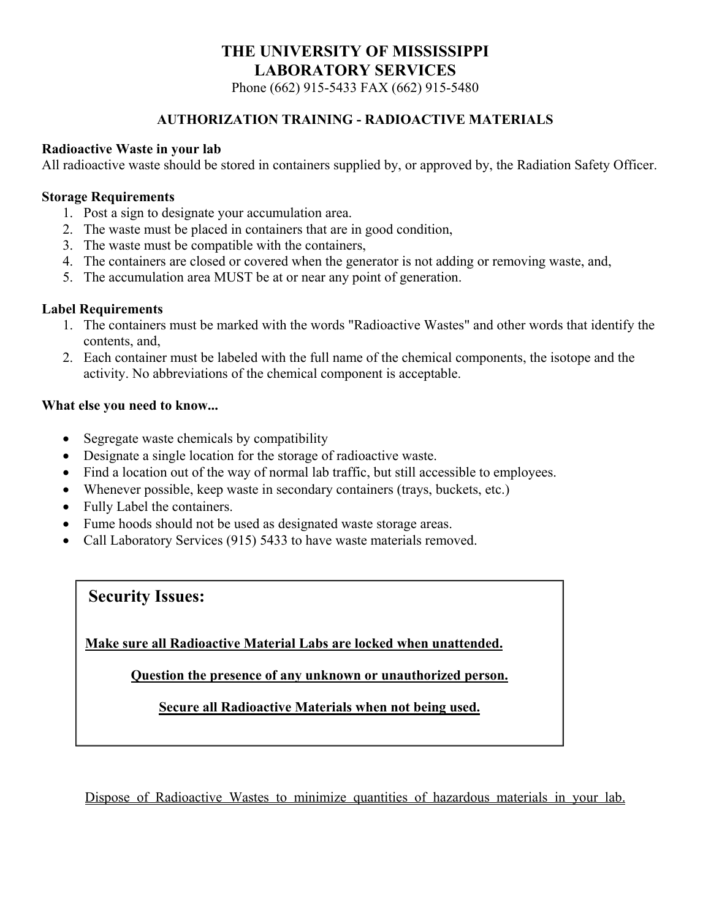Phone (662) 915-5433 FAX (662) 915-5480

#### **AUTHORIZATION TRAINING - RADIOACTIVE MATERIALS**

#### **Radioactive Waste in your lab**

All radioactive waste should be stored in containers supplied by, or approved by, the Radiation Safety Officer.

#### **Storage Requirements**

- 1. Post a sign to designate your accumulation area.
- 2. The waste must be placed in containers that are in good condition,
- 3. The waste must be compatible with the containers,
- 4. The containers are closed or covered when the generator is not adding or removing waste, and,
- 5. The accumulation area MUST be at or near any point of generation.

#### **Label Requirements**

- 1. The containers must be marked with the words "Radioactive Wastes" and other words that identify the contents, and,
- 2. Each container must be labeled with the full name of the chemical components, the isotope and the activity. No abbreviations of the chemical component is acceptable.

#### **What else you need to know...**

- Segregate waste chemicals by compatibility
- Designate a single location for the storage of radioactive waste.
- Find a location out of the way of normal lab traffic, but still accessible to employees.
- Whenever possible, keep waste in secondary containers (trays, buckets, etc.)
- Fully Label the containers.
- Fume hoods should not be used as designated waste storage areas.
- Call Laboratory Services (915) 5433 to have waste materials removed.

### **Security Issues:**

**Make sure all Radioactive Material Labs are locked when unattended.** 

**Question the presence of any unknown or unauthorized person.** 

**Secure all Radioactive Materials when not being used.** 

Dispose of Radioactive Wastes to minimize quantities of hazardous materials in your lab.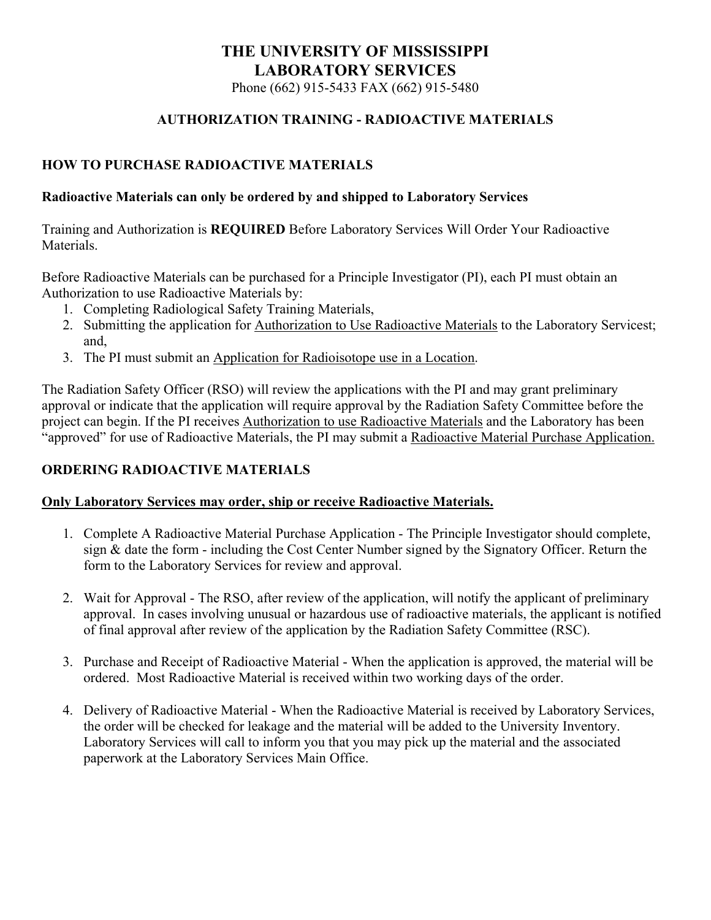Phone (662) 915-5433 FAX (662) 915-5480

#### **AUTHORIZATION TRAINING - RADIOACTIVE MATERIALS**

#### **HOW TO PURCHASE RADIOACTIVE MATERIALS**

#### **Radioactive Materials can only be ordered by and shipped to Laboratory Services**

Training and Authorization is **REQUIRED** Before Laboratory Services Will Order Your Radioactive Materials.

Before Radioactive Materials can be purchased for a Principle Investigator (PI), each PI must obtain an Authorization to use Radioactive Materials by:

- 1. Completing Radiological Safety Training Materials,
- 2. Submitting the application for Authorization to Use Radioactive Materials to the Laboratory Servicest; and,
- 3. The PI must submit an Application for Radioisotope use in a Location.

The Radiation Safety Officer (RSO) will review the applications with the PI and may grant preliminary approval or indicate that the application will require approval by the Radiation Safety Committee before the project can begin. If the PI receives Authorization to use Radioactive Materials and the Laboratory has been "approved" for use of Radioactive Materials, the PI may submit a Radioactive Material Purchase Application.

#### **ORDERING RADIOACTIVE MATERIALS**

#### **Only Laboratory Services may order, ship or receive Radioactive Materials.**

- 1. Complete A Radioactive Material Purchase Application The Principle Investigator should complete, sign & date the form - including the Cost Center Number signed by the Signatory Officer. Return the form to the Laboratory Services for review and approval.
- 2. Wait for Approval The RSO, after review of the application, will notify the applicant of preliminary approval. In cases involving unusual or hazardous use of radioactive materials, the applicant is notified of final approval after review of the application by the Radiation Safety Committee (RSC).
- 3. Purchase and Receipt of Radioactive Material When the application is approved, the material will be ordered. Most Radioactive Material is received within two working days of the order.
- 4. Delivery of Radioactive Material When the Radioactive Material is received by Laboratory Services, the order will be checked for leakage and the material will be added to the University Inventory. Laboratory Services will call to inform you that you may pick up the material and the associated paperwork at the Laboratory Services Main Office.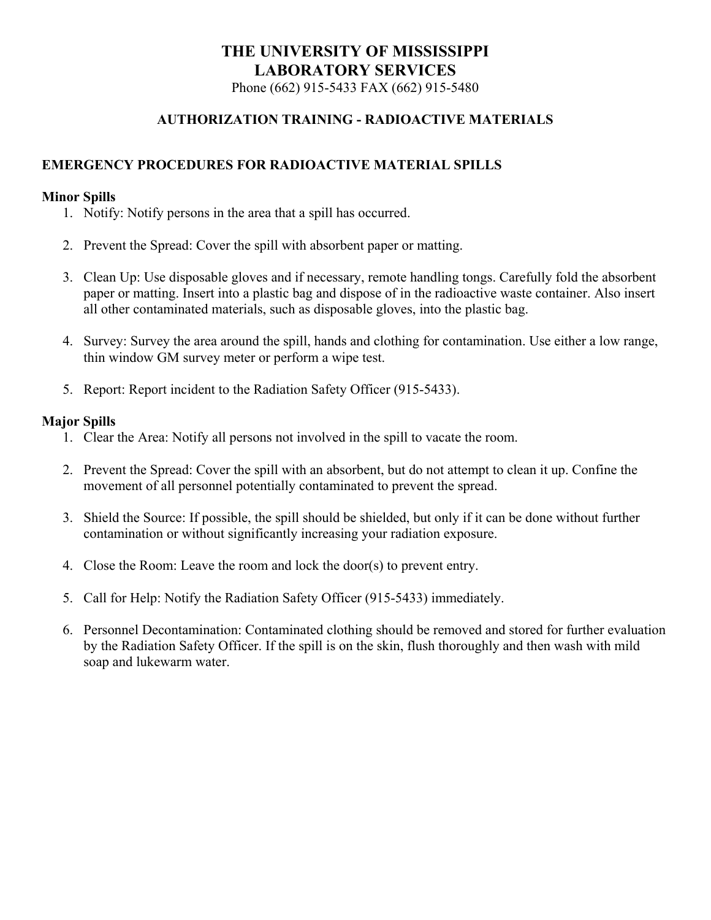Phone (662) 915-5433 FAX (662) 915-5480

#### **AUTHORIZATION TRAINING - RADIOACTIVE MATERIALS**

#### **EMERGENCY PROCEDURES FOR RADIOACTIVE MATERIAL SPILLS**

#### **Minor Spills**

- 1. Notify: Notify persons in the area that a spill has occurred.
- 2. Prevent the Spread: Cover the spill with absorbent paper or matting.
- 3. Clean Up: Use disposable gloves and if necessary, remote handling tongs. Carefully fold the absorbent paper or matting. Insert into a plastic bag and dispose of in the radioactive waste container. Also insert all other contaminated materials, such as disposable gloves, into the plastic bag.
- 4. Survey: Survey the area around the spill, hands and clothing for contamination. Use either a low range, thin window GM survey meter or perform a wipe test.
- 5. Report: Report incident to the Radiation Safety Officer (915-5433).

#### **Major Spills**

- 1. Clear the Area: Notify all persons not involved in the spill to vacate the room.
- 2. Prevent the Spread: Cover the spill with an absorbent, but do not attempt to clean it up. Confine the movement of all personnel potentially contaminated to prevent the spread.
- 3. Shield the Source: If possible, the spill should be shielded, but only if it can be done without further contamination or without significantly increasing your radiation exposure.
- 4. Close the Room: Leave the room and lock the door(s) to prevent entry.
- 5. Call for Help: Notify the Radiation Safety Officer (915-5433) immediately.
- 6. Personnel Decontamination: Contaminated clothing should be removed and stored for further evaluation by the Radiation Safety Officer. If the spill is on the skin, flush thoroughly and then wash with mild soap and lukewarm water.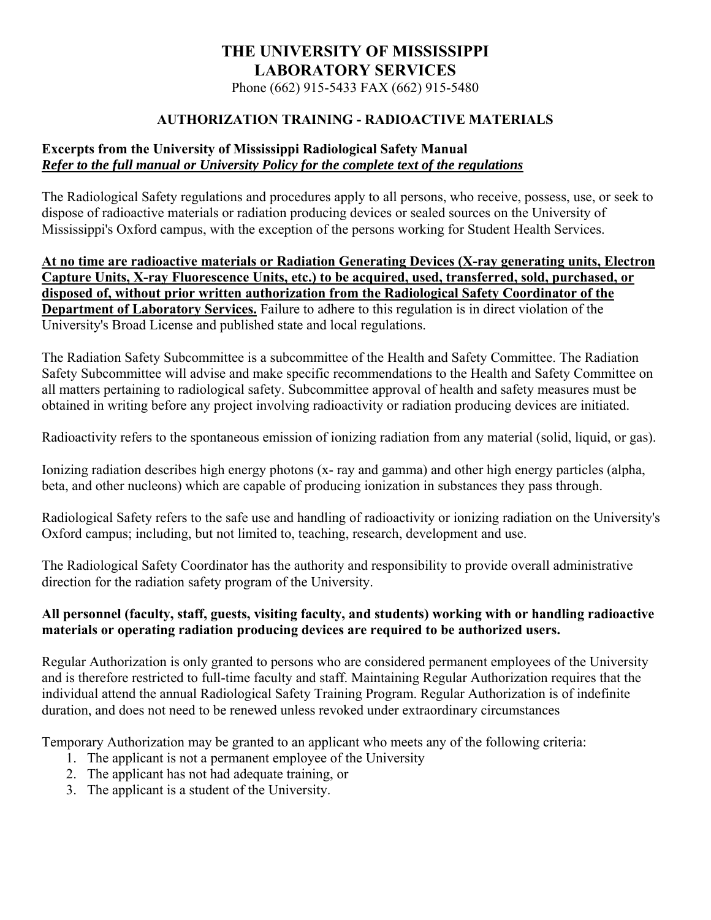Phone (662) 915-5433 FAX (662) 915-5480

#### **AUTHORIZATION TRAINING - RADIOACTIVE MATERIALS**

#### **Excerpts from the University of Mississippi Radiological Safety Manual**  *Refer to the full manual or University Policy for the complete text of the regulations*

The Radiological Safety regulations and procedures apply to all persons, who receive, possess, use, or seek to dispose of radioactive materials or radiation producing devices or sealed sources on the University of Mississippi's Oxford campus, with the exception of the persons working for Student Health Services.

**At no time are radioactive materials or Radiation Generating Devices (X-ray generating units, Electron Capture Units, X-ray Fluorescence Units, etc.) to be acquired, used, transferred, sold, purchased, or disposed of, without prior written authorization from the Radiological Safety Coordinator of the Department of Laboratory Services.** Failure to adhere to this regulation is in direct violation of the University's Broad License and published state and local regulations.

The Radiation Safety Subcommittee is a subcommittee of the Health and Safety Committee. The Radiation Safety Subcommittee will advise and make specific recommendations to the Health and Safety Committee on all matters pertaining to radiological safety. Subcommittee approval of health and safety measures must be obtained in writing before any project involving radioactivity or radiation producing devices are initiated.

Radioactivity refers to the spontaneous emission of ionizing radiation from any material (solid, liquid, or gas).

Ionizing radiation describes high energy photons (x- ray and gamma) and other high energy particles (alpha, beta, and other nucleons) which are capable of producing ionization in substances they pass through.

Radiological Safety refers to the safe use and handling of radioactivity or ionizing radiation on the University's Oxford campus; including, but not limited to, teaching, research, development and use.

The Radiological Safety Coordinator has the authority and responsibility to provide overall administrative direction for the radiation safety program of the University.

#### **All personnel (faculty, staff, guests, visiting faculty, and students) working with or handling radioactive materials or operating radiation producing devices are required to be authorized users.**

Regular Authorization is only granted to persons who are considered permanent employees of the University and is therefore restricted to full-time faculty and staff. Maintaining Regular Authorization requires that the individual attend the annual Radiological Safety Training Program. Regular Authorization is of indefinite duration, and does not need to be renewed unless revoked under extraordinary circumstances

Temporary Authorization may be granted to an applicant who meets any of the following criteria:

- 1. The applicant is not a permanent employee of the University
- 2. The applicant has not had adequate training, or
- 3. The applicant is a student of the University.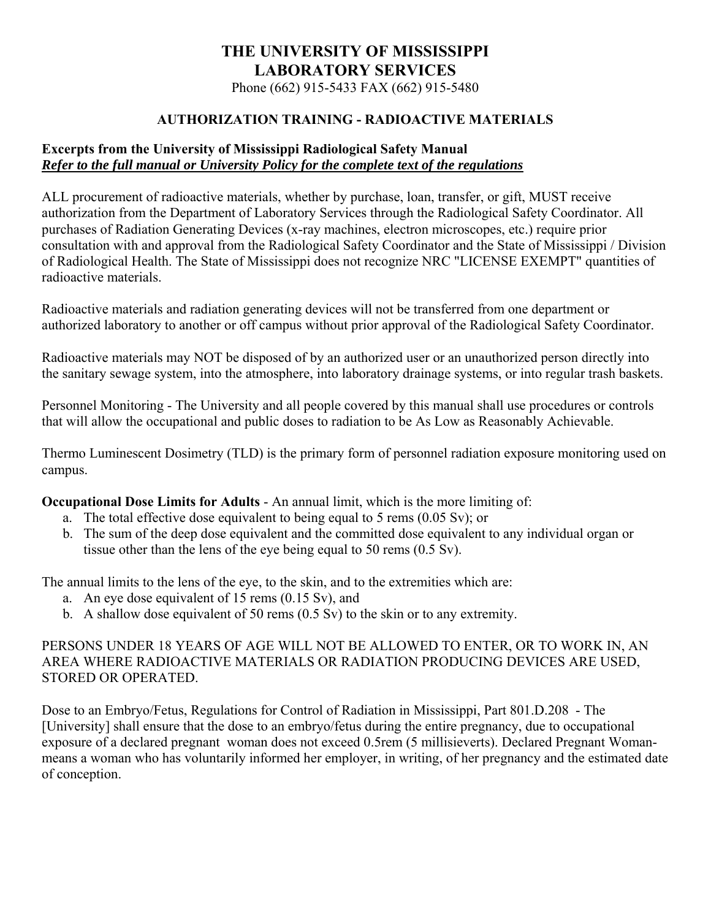Phone (662) 915-5433 FAX (662) 915-5480

#### **AUTHORIZATION TRAINING - RADIOACTIVE MATERIALS**

#### **Excerpts from the University of Mississippi Radiological Safety Manual**  *Refer to the full manual or University Policy for the complete text of the regulations*

ALL procurement of radioactive materials, whether by purchase, loan, transfer, or gift, MUST receive authorization from the Department of Laboratory Services through the Radiological Safety Coordinator. All purchases of Radiation Generating Devices (x-ray machines, electron microscopes, etc.) require prior consultation with and approval from the Radiological Safety Coordinator and the State of Mississippi / Division of Radiological Health. The State of Mississippi does not recognize NRC "LICENSE EXEMPT" quantities of radioactive materials.

Radioactive materials and radiation generating devices will not be transferred from one department or authorized laboratory to another or off campus without prior approval of the Radiological Safety Coordinator.

Radioactive materials may NOT be disposed of by an authorized user or an unauthorized person directly into the sanitary sewage system, into the atmosphere, into laboratory drainage systems, or into regular trash baskets.

Personnel Monitoring - The University and all people covered by this manual shall use procedures or controls that will allow the occupational and public doses to radiation to be As Low as Reasonably Achievable.

Thermo Luminescent Dosimetry (TLD) is the primary form of personnel radiation exposure monitoring used on campus.

**Occupational Dose Limits for Adults** - An annual limit, which is the more limiting of:

- a. The total effective dose equivalent to being equal to 5 rems (0.05 Sv); or
- b. The sum of the deep dose equivalent and the committed dose equivalent to any individual organ or tissue other than the lens of the eye being equal to 50 rems (0.5 Sv).

The annual limits to the lens of the eye, to the skin, and to the extremities which are:

- a. An eye dose equivalent of 15 rems (0.15 Sv), and
- b. A shallow dose equivalent of 50 rems (0.5 Sv) to the skin or to any extremity.

#### PERSONS UNDER 18 YEARS OF AGE WILL NOT BE ALLOWED TO ENTER, OR TO WORK IN, AN AREA WHERE RADIOACTIVE MATERIALS OR RADIATION PRODUCING DEVICES ARE USED, STORED OR OPERATED.

Dose to an Embryo/Fetus, Regulations for Control of Radiation in Mississippi, Part 801.D.208 - The [University] shall ensure that the dose to an embryo/fetus during the entire pregnancy, due to occupational exposure of a declared pregnant woman does not exceed 0.5rem (5 millisieverts). Declared Pregnant Womanmeans a woman who has voluntarily informed her employer, in writing, of her pregnancy and the estimated date of conception.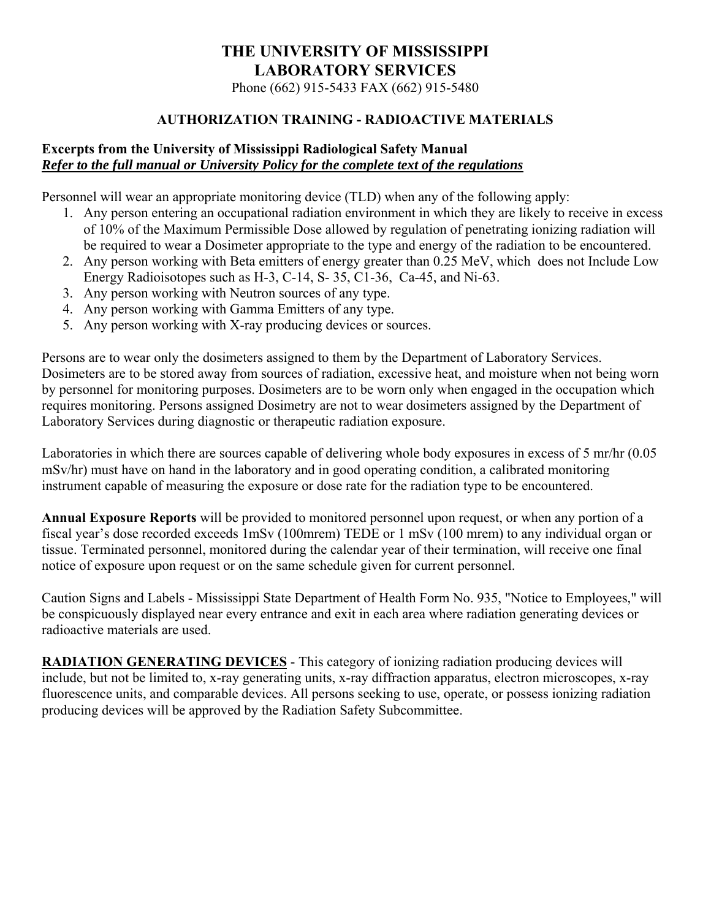Phone (662) 915-5433 FAX (662) 915-5480

#### **AUTHORIZATION TRAINING - RADIOACTIVE MATERIALS**

#### **Excerpts from the University of Mississippi Radiological Safety Manual**  *Refer to the full manual or University Policy for the complete text of the regulations*

Personnel will wear an appropriate monitoring device (TLD) when any of the following apply:

- 1. Any person entering an occupational radiation environment in which they are likely to receive in excess of 10% of the Maximum Permissible Dose allowed by regulation of penetrating ionizing radiation will be required to wear a Dosimeter appropriate to the type and energy of the radiation to be encountered.
- 2. Any person working with Beta emitters of energy greater than 0.25 MeV, which does not Include Low Energy Radioisotopes such as H-3, C-14, S- 35, C1-36, Ca-45, and Ni-63.
- 3. Any person working with Neutron sources of any type.
- 4. Any person working with Gamma Emitters of any type.
- 5. Any person working with X-ray producing devices or sources.

Persons are to wear only the dosimeters assigned to them by the Department of Laboratory Services. Dosimeters are to be stored away from sources of radiation, excessive heat, and moisture when not being worn by personnel for monitoring purposes. Dosimeters are to be worn only when engaged in the occupation which requires monitoring. Persons assigned Dosimetry are not to wear dosimeters assigned by the Department of Laboratory Services during diagnostic or therapeutic radiation exposure.

Laboratories in which there are sources capable of delivering whole body exposures in excess of 5 mr/hr (0.05 mSv/hr) must have on hand in the laboratory and in good operating condition, a calibrated monitoring instrument capable of measuring the exposure or dose rate for the radiation type to be encountered.

**Annual Exposure Reports** will be provided to monitored personnel upon request, or when any portion of a fiscal year's dose recorded exceeds 1mSv (100mrem) TEDE or 1 mSv (100 mrem) to any individual organ or tissue. Terminated personnel, monitored during the calendar year of their termination, will receive one final notice of exposure upon request or on the same schedule given for current personnel.

Caution Signs and Labels - Mississippi State Department of Health Form No. 935, "Notice to Employees," will be conspicuously displayed near every entrance and exit in each area where radiation generating devices or radioactive materials are used.

**RADIATION GENERATING DEVICES** - This category of ionizing radiation producing devices will include, but not be limited to, x-ray generating units, x-ray diffraction apparatus, electron microscopes, x-ray fluorescence units, and comparable devices. All persons seeking to use, operate, or possess ionizing radiation producing devices will be approved by the Radiation Safety Subcommittee.